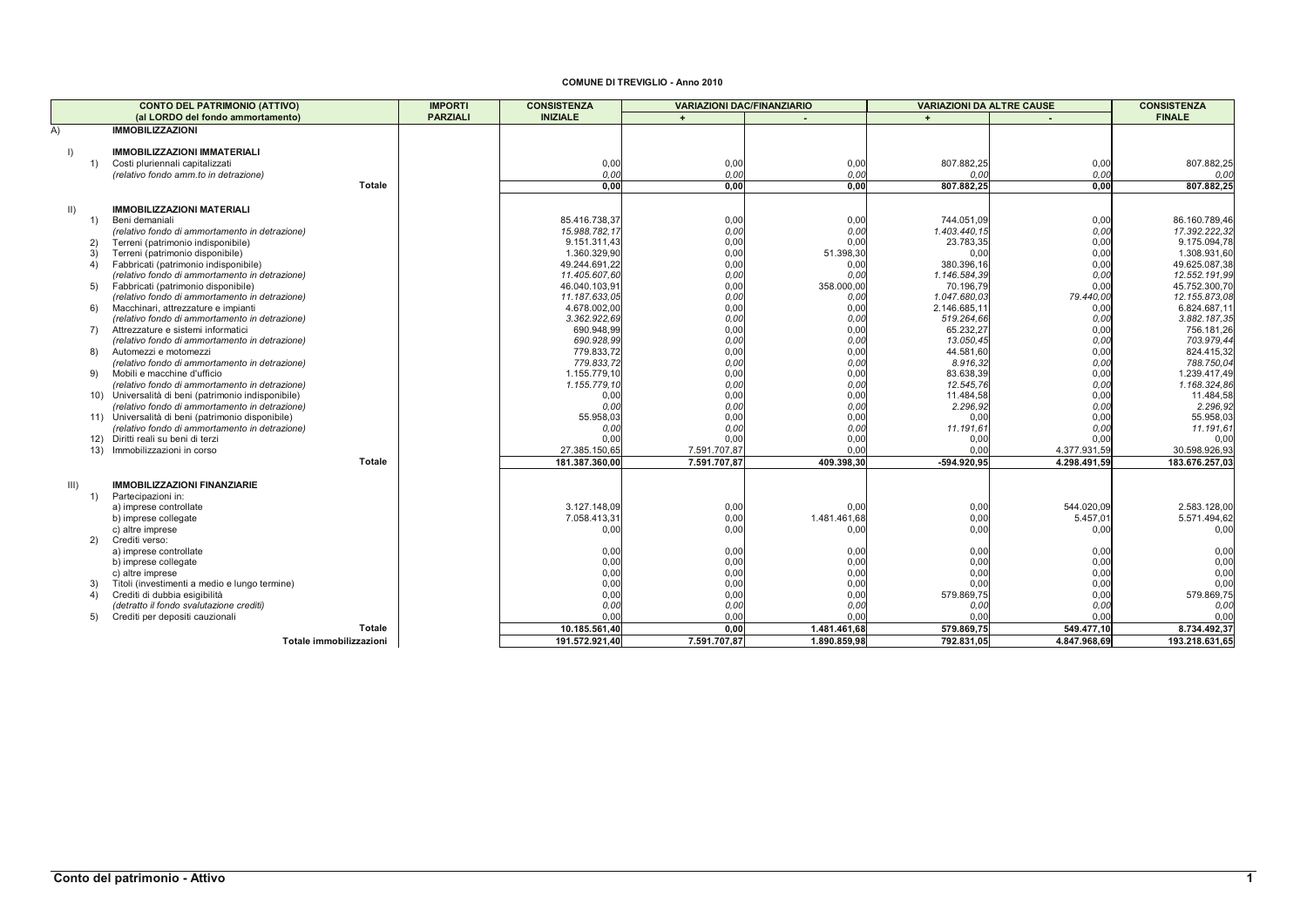## **COMUNE DI TREVIGLIO - Anno 2010**

|             | <b>CONTO DEL PATRIMONIO (ATTIVO)</b>                                                                | <b>IMPORTI</b>  | <b>CONSISTENZA</b>            | <b>VARIAZIONI DAC/FINANZIARIO</b> |              | <b>VARIAZIONI DA ALTRE CAUSE</b> |              | <b>CONSISTENZA</b>            |
|-------------|-----------------------------------------------------------------------------------------------------|-----------------|-------------------------------|-----------------------------------|--------------|----------------------------------|--------------|-------------------------------|
|             | (al LORDO del fondo ammortamento)                                                                   | <b>PARZIALI</b> | <b>INIZIALE</b>               | $\ddot{+}$                        |              | $+$                              |              | <b>FINALE</b>                 |
| A)          | <b>IMMOBILIZZAZIONI</b>                                                                             |                 |                               |                                   |              |                                  |              |                               |
|             |                                                                                                     |                 |                               |                                   |              |                                  |              |                               |
| $\vert$     | <b>IMMOBILIZZAZIONI IMMATERIALI</b>                                                                 |                 |                               |                                   |              |                                  |              |                               |
| 1)          | Costi pluriennali capitalizzati                                                                     |                 | 0,00                          | 0,00                              | 0,00         | 807.882,25                       | 0,00         | 807.882,25                    |
|             | (relativo fondo amm.to in detrazione)                                                               |                 | 0.00                          | 0.00                              | 0.00         | 0.00                             | 0.00         | 0.00                          |
|             | <b>Totale</b>                                                                                       |                 | 0,00                          | 0.00                              | 0,00         | 807.882,25                       | 0.00         | 807.882,25                    |
|             |                                                                                                     |                 |                               |                                   |              |                                  |              |                               |
| $\parallel$ | <b>IMMOBILIZZAZIONI MATERIALI</b>                                                                   |                 |                               |                                   |              |                                  |              |                               |
| 1)          | Beni demaniali                                                                                      |                 | 85.416.738.37                 | 0,00                              | 0,00         | 744.051,09                       | 0,00         | 86.160.789,46                 |
| 2)          | (relativo fondo di ammortamento in detrazione)                                                      |                 | 15.988.782,17<br>9.151.311,43 | 0,00<br>0,00                      | 0,00<br>0.00 | 1.403.440,15<br>23.783,35        | 0,00<br>0,00 | 17.392.222,32<br>9.175.094,78 |
| 3)          | Terreni (patrimonio indisponibile)<br>Terreni (patrimonio disponibile)                              |                 | 1.360.329,90                  | 0,00                              | 51.398,30    | 0,00                             | 0,00         | 1.308.931,60                  |
| 4)          | Fabbricati (patrimonio indisponibile)                                                               |                 | 49.244.691,22                 | 0,00                              | 0,00         | 380.396,16                       | 0,00         | 49.625.087,38                 |
|             | (relativo fondo di ammortamento in detrazione)                                                      |                 | 11.405.607,60                 | 0.00                              | 0.00         | 1.146.584,39                     | 0,00         | 12.552.191.99                 |
| 5)          | Fabbricati (patrimonio disponibile)                                                                 |                 | 46.040.103,91                 | 0,00                              | 358.000,00   | 70.196,79                        | 0,00         | 45.752.300,70                 |
|             | (relativo fondo di ammortamento in detrazione)                                                      |                 | 11.187.633,05                 | 0,00                              | 0.00         | 1.047.680,03                     | 79.440,00    | 12.155.873,08                 |
| 6)          | Macchinari, attrezzature e impianti                                                                 |                 | 4.678.002,00                  | 0,00                              | 0,00         | 2.146.685,1                      | 0,00         | 6.824.687,1                   |
|             | (relativo fondo di ammortamento in detrazione)                                                      |                 | 3.362.922,69                  | 0,00                              | 0.00         | 519.264,66                       | 0,00         | 3.882.187,3                   |
| 7)          | Attrezzature e sistemi informatici                                                                  |                 | 690.948.99                    | 0,00                              | 0,00         | 65.232,27                        | 0,00         | 756.181,26                    |
|             | (relativo fondo di ammortamento in detrazione)                                                      |                 | 690.928,99                    | 0,00                              | 0,00         | 13.050,45                        | 0,00         | 703.979,44                    |
| 8)          | Automezzi e motomezzi                                                                               |                 | 779.833.72                    | 0,00                              | 0,00         | 44.581.60                        | 0,00         | 824.415,32                    |
|             | (relativo fondo di ammortamento in detrazione)                                                      |                 | 779.833,72                    | 0,00                              | 0,00         | 8.916.32                         | 0,00         | 788.750,04                    |
| 9)          | Mobili e macchine d'ufficio                                                                         |                 | 1.155.779.10                  | 0,00                              | 0,00         | 83.638,39                        | 0,00         | 1.239.417,4                   |
|             | (relativo fondo di ammortamento in detrazione)                                                      |                 | 1.155.779.10                  | 0,00                              | 0,00         | 12.545,76                        | 0,00         | 1.168.324,86                  |
|             | 10) Universalità di beni (patrimonio indisponibile)                                                 |                 | 0.00                          | 0.00                              | 0,00         | 11.484.58                        | 0,00         | 11.484,58                     |
|             | (relativo fondo di ammortamento in detrazione)                                                      |                 | 0.00                          | 0,00                              | 0,00         | 2.296,92                         | 0.00<br>0,00 | 2.296,92                      |
|             | 11) Universalità di beni (patrimonio disponibile)<br>(relativo fondo di ammortamento in detrazione) |                 | 55.958,03<br>0,00             | 0.00<br>0,00                      | 0,00<br>0,00 | 0,00<br>11.191,61                | 0.00         | 55.958,03<br>11.191.6         |
|             | 12) Diritti reali su beni di terzi                                                                  |                 | 0,00                          | 0.00                              | 0,00         | 0,00                             | 0,00         | 0.0(                          |
| 13)         | Immobilizzazioni in corso                                                                           |                 | 27.385.150,65                 | 7.591.707,87                      | 0.00         | 0,00                             | 4.377.931,59 | 30.598.926,93                 |
|             | <b>Totale</b>                                                                                       |                 | 181.387.360,00                | 7.591.707,87                      | 409.398,30   | -594.920,95                      | 4.298.491,59 | 183.676.257,03                |
|             |                                                                                                     |                 |                               |                                   |              |                                  |              |                               |
| III)        | <b>IMMOBILIZZAZIONI FINANZIARIE</b>                                                                 |                 |                               |                                   |              |                                  |              |                               |
| 1)          | Partecipazioni in:                                                                                  |                 |                               |                                   |              |                                  |              |                               |
|             | a) imprese controllate                                                                              |                 | 3.127.148.09                  | 0,00                              | 0.00         | 0,00                             | 544.020.09   | 2.583.128,00                  |
|             | b) imprese collegate                                                                                |                 | 7.058.413,31                  | 0.00                              | 1.481.461,68 | 0,00                             | 5.457,01     | 5.571.494,62                  |
|             | c) altre imprese                                                                                    |                 | 0,00                          | 0.00                              | 0.00         | 0,00                             | 0,00         | 0,00                          |
| 2)          | Crediti verso:                                                                                      |                 |                               |                                   |              |                                  |              |                               |
|             | a) imprese controllate                                                                              |                 | 0,00                          | 0,00                              | 0,00         | 0,00                             | 0,00         | 0,00                          |
|             | b) imprese collegate                                                                                |                 | 0,00                          | 0,00                              | 0,00         | 0,00                             | 0,00         | 0,00                          |
|             | c) altre imprese                                                                                    |                 | 0,00                          | 0,00                              | 0,00         | 0,00                             | 0,00         | 0,00                          |
| 3)          | Titoli (investimenti a medio e lungo termine)                                                       |                 | 0,00                          | 0,00                              | 0,00         | 0,00                             | 0,00         | 0,00                          |
| 4)          | Crediti di dubbia esigibilità                                                                       |                 | 0,00                          | 0,00                              | 0,00         | 579.869,75                       | 0,00         | 579.869,75                    |
|             | (detratto il fondo svalutazione crediti)                                                            |                 | 0,00                          | 0,00                              | 0,00         | 0,00                             | 0.00<br>0.00 | 0,00                          |
| 5)          | Crediti per depositi cauzionali<br><b>Totale</b>                                                    |                 | 0.00                          | 0.00                              | 0.00         | 0.00                             |              | 0.00                          |
|             |                                                                                                     |                 | 10.185.561,40                 | 0,00                              | 1.481.461,68 | 579.869,75                       | 549.477,10   | 8.734.492,37                  |
|             | Totale immobilizzazioni                                                                             |                 | 191.572.921,40                | 7.591.707,87                      | 1.890.859,98 | 792.831,05                       | 4.847.968,69 | 193.218.631,65                |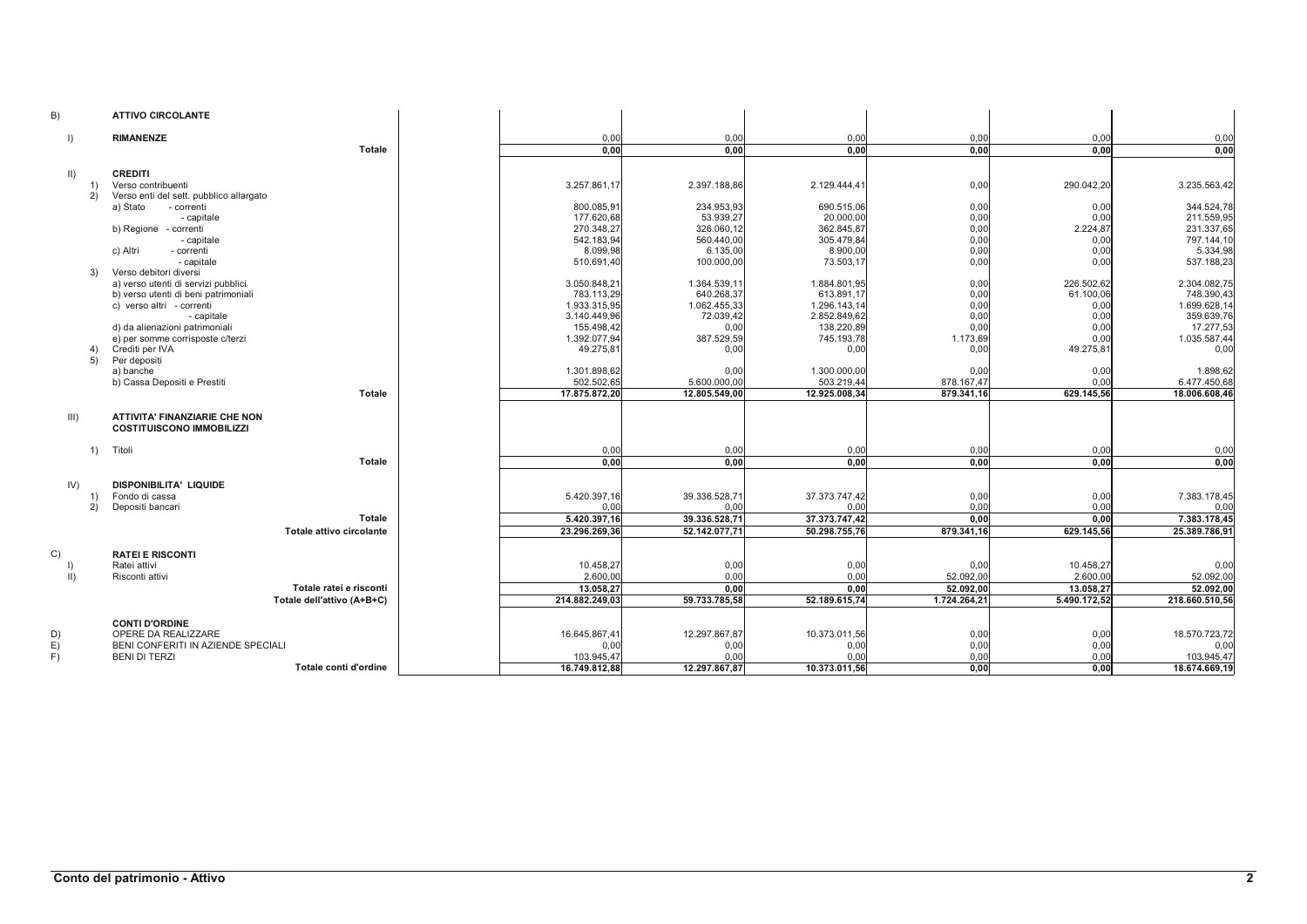| B)                        | <b>ATTIVO CIRCOLANTE</b>                                                                                                                                                                     |                                                                                          |                                                                               |                                                                                        |                                                  |                                                         |                                                                                       |
|---------------------------|----------------------------------------------------------------------------------------------------------------------------------------------------------------------------------------------|------------------------------------------------------------------------------------------|-------------------------------------------------------------------------------|----------------------------------------------------------------------------------------|--------------------------------------------------|---------------------------------------------------------|---------------------------------------------------------------------------------------|
| $\vert$                   | <b>RIMANENZE</b>                                                                                                                                                                             | 0,00                                                                                     | 0,00                                                                          | 0,00                                                                                   | 0,00                                             | 0,00                                                    | 0,00                                                                                  |
|                           | Totale                                                                                                                                                                                       | 0.00                                                                                     | 0.00                                                                          | 0,00                                                                                   | 0,00                                             | 0.00                                                    | 0,00                                                                                  |
| $\vert \vert$<br>1)<br>2) | <b>CREDITI</b><br>Verso contribuenti<br>Verso enti del sett. pubblico allargato<br>a) Stato<br>- correnti<br>- capitale<br>b) Regione - correnti                                             | 3.257.861,17<br>800.085,91<br>177.620.68<br>270.348,27                                   | 2.397.188,86<br>234.953,93<br>53.939.27<br>326.060,12                         | 2.129.444,41<br>690.515,06<br>20.000,00<br>362.845,87                                  | 0,00<br>0,00<br>0,00<br>0,00                     | 290.042,20<br>0,00<br>0.00<br>2.224,87                  | 3.235.563,42<br>344.524,78<br>211.559,95<br>231.337,65                                |
| 3)                        | - capitale<br>c) Altri<br>- correnti<br>- capitale<br>Verso debitori diversi                                                                                                                 | 542.183,94<br>8.099,98<br>510.691,40                                                     | 560.440,00<br>6.135,00<br>100.000,00                                          | 305.479,84<br>8.900,00<br>73.503,17                                                    | 0,00<br>0,00<br>0,00                             | 0,00<br>0,00<br>0.00                                    | 797.144,10<br>5.334,98<br>537.188,23                                                  |
|                           | a) verso utenti di servizi pubblici<br>b) verso utenti di beni patrimoniali<br>c) verso altri - correnti<br>- capitale<br>d) da alienazioni patrimoniali<br>e) per somme corrisposte c/terzi | 3.050.848,21<br>783.113,29<br>1.933.315,95<br>3.140.449,96<br>155.498,42<br>1.392.077,94 | 1.364.539,11<br>640.268,37<br>1.062.455,33<br>72.039,42<br>0,00<br>387.529,59 | 1.884.801,95<br>613.891,17<br>1.296.143,14<br>2.852.849,62<br>138.220,89<br>745.193,78 | 0,00<br>0,00<br>0,00<br>0,00<br>0,00<br>1.173,69 | 226.502,62<br>61.100,06<br>0,00<br>0,00<br>0,00<br>0.00 | 2.304.082,75<br>748.390,43<br>1.699.628,14<br>359.639,76<br>17.277,53<br>1.035.587,44 |
| 4)<br>5)                  | Crediti per IVA<br>Per depositi<br>a) banche<br>b) Cassa Depositi e Prestiti<br>Totale                                                                                                       | 49.275,81<br>1.301.898,62<br>502.502,65<br>17.875.872,20                                 | 0,00<br>0,00<br>5.600.000,00<br>12.805.549,00                                 | 0,00<br>1.300.000,00<br>503.219,44<br>12.925.008,34                                    | 0,00<br>0,00<br>878.167,47<br>879.341,16         | 49.275,81<br>0,00<br>0,00<br>629.145,56                 | 0,00<br>1.898,62<br>6.477.450,68<br>18.006.608,46                                     |
| III)                      | ATTIVITA' FINANZIARIE CHE NON<br><b>COSTITUISCONO IMMOBILIZZI</b>                                                                                                                            |                                                                                          |                                                                               |                                                                                        |                                                  |                                                         |                                                                                       |
| 1)                        | Titoli                                                                                                                                                                                       | 0,00                                                                                     | 0,00                                                                          | 0,00                                                                                   | 0,00                                             | 0,00                                                    | 0,00                                                                                  |
|                           | Totale                                                                                                                                                                                       | 0.00                                                                                     | 0.00                                                                          | 0.00                                                                                   | 0.00                                             | 0.00                                                    | 0.00                                                                                  |
| IV)<br>1)<br>2)           | <b>DISPONIBILITA' LIQUIDE</b><br>Fondo di cassa<br>Depositi bancari<br>Totale<br>Totale attivo circolante                                                                                    | 5.420.397,16<br>0,00<br>5.420.397.16<br>23.296.269,36                                    | 39.336.528,71<br>0,00<br>39.336.528,71<br>52.142.077,71                       | 37.373.747,42<br>0,00<br>37.373.747,42<br>50.298.755,76                                | 0,00<br>0,00<br>0,00<br>879.341,16               | 0,00<br>0.00<br>0.00<br>629.145,56                      | 7.383.178,45<br>0,00<br>7.383.178,45<br>25.389.786,91                                 |
| C)<br>$\vert \vert$       | <b>RATEI E RISCONTI</b><br>Ratei attivi<br>Risconti attivi<br>Totale ratei e risconti<br>Totale dell'attivo (A+B+C)                                                                          | 10.458,27<br>2.600.00<br>13.058,27<br>214.882.249,03                                     | 0,00<br>0,00<br>0,00<br>59.733.785,58                                         | 0,00<br>0,00<br>0,00<br>52.189.615,74                                                  | 0,00<br>52.092,00<br>52.092.00<br>1.724.264,21   | 10.458,27<br>2.600,00<br>13.058,27<br>5.490.172,52      | 0,00<br>52.092,00<br>52.092,00<br>218.660.510,56                                      |
| D)<br>E)<br>F)            | <b>CONTI D'ORDINE</b><br>OPERE DA REALIZZARE<br>BENI CONFERITI IN AZIENDE SPECIALI<br><b>BENI DI TERZI</b><br>Totale conti d'ordine                                                          | 16.645.867,41<br>0,00<br>103.945,47<br>16.749.812,88                                     | 12.297.867,87<br>0,00<br>0,00<br>12.297.867,87                                | 10.373.011,56<br>0,00<br>0,00<br>10.373.011,56                                         | 0,00<br>0,00<br>0,00<br>0,00                     | 0,00<br>0,00<br>0.00<br>0,00                            | 18.570.723,72<br>0,00<br>103.945,47<br>18.674.669,19                                  |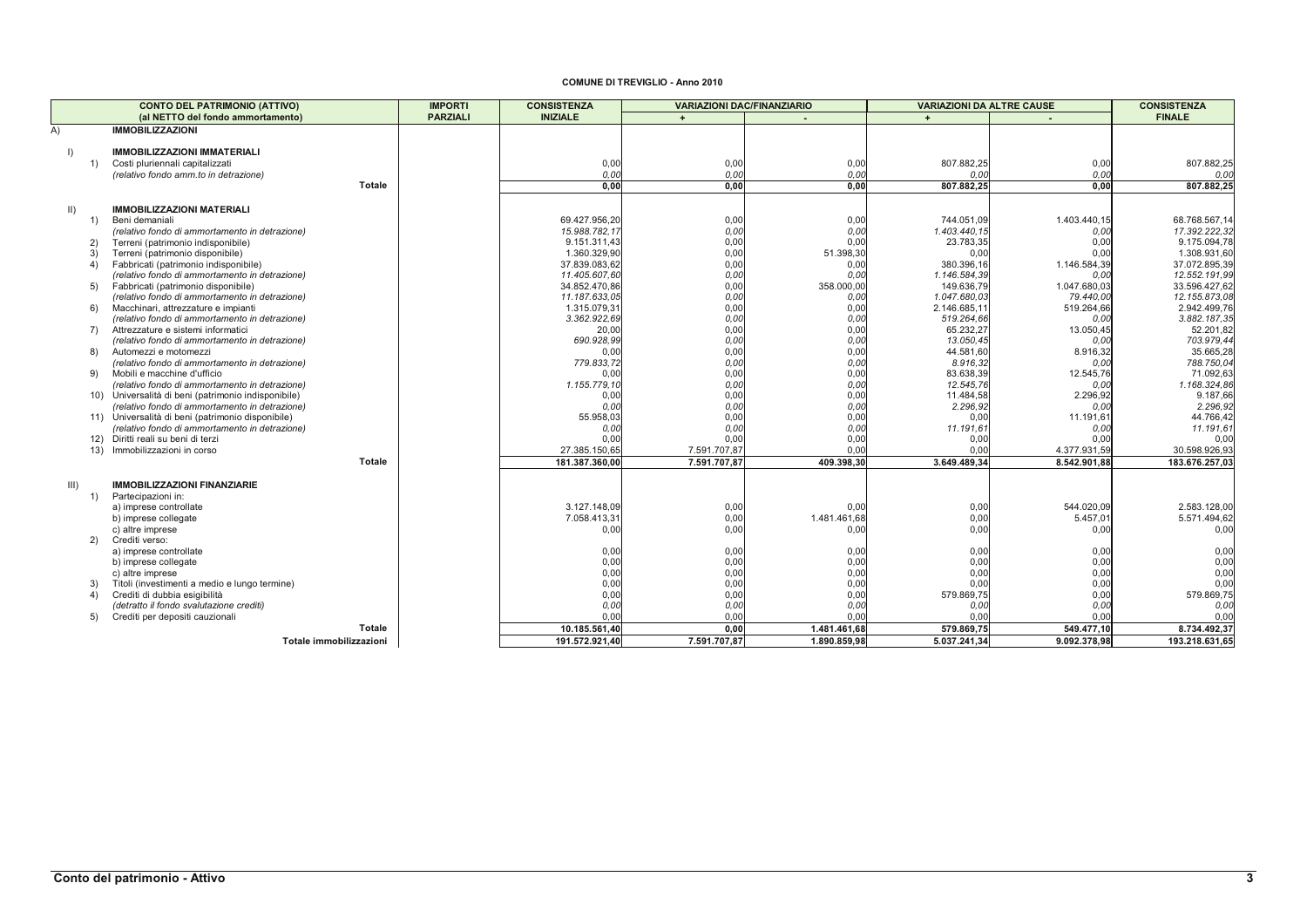## **COMUNE DI TREVIGLIO - Anno 2010**

|              | <b>CONTO DEL PATRIMONIO (ATTIVO)</b>                                                                | <b>IMPORTI</b>  | <b>CONSISTENZA</b>            | <b>VARIAZIONI DAC/FINANZIARIO</b> |              | <b>VARIAZIONI DA ALTRE CAUSE</b> |                   | <b>CONSISTENZA</b>            |
|--------------|-----------------------------------------------------------------------------------------------------|-----------------|-------------------------------|-----------------------------------|--------------|----------------------------------|-------------------|-------------------------------|
|              | (al NETTO del fondo ammortamento)                                                                   | <b>PARZIALI</b> | <b>INIZIALE</b>               | $+$                               |              | $+$                              |                   | <b>FINALE</b>                 |
| A)           | <b>IMMOBILIZZAZIONI</b>                                                                             |                 |                               |                                   |              |                                  |                   |                               |
|              |                                                                                                     |                 |                               |                                   |              |                                  |                   |                               |
| $\mathsf{I}$ | <b>IMMOBILIZZAZIONI IMMATERIALI</b>                                                                 |                 |                               |                                   |              |                                  |                   |                               |
| 1)           | Costi pluriennali capitalizzati                                                                     |                 | 0,00                          | 0,00                              | 0,00         | 807.882,25                       | 0,00              | 807.882,25                    |
|              | (relativo fondo amm.to in detrazione)                                                               |                 | 0,00                          | 0.00                              | 0.00         | 0.00                             | 0.00              | 0.00                          |
|              | Totale                                                                                              |                 | 0.00                          | 0,00                              | 0,00         | 807.882,25                       | 0.00              | 807.882,25                    |
|              |                                                                                                     |                 |                               |                                   |              |                                  |                   |                               |
| $\parallel$  | <b>IMMOBILIZZAZIONI MATERIALI</b>                                                                   |                 |                               |                                   |              |                                  |                   |                               |
| 1)           | Beni demaniali                                                                                      |                 | 69.427.956.20                 | 0,00                              | 0,00         | 744.051,09                       | 1.403.440,15      | 68.768.567,14                 |
| 2)           | (relativo fondo di ammortamento in detrazione)                                                      |                 | 15.988.782,17<br>9.151.311,43 | 0.00<br>0.00                      | 0,00<br>0,00 | 1.403.440,15<br>23.783,35        | 0,00<br>0,00      | 17.392.222,32<br>9.175.094,78 |
| 3)           | Terreni (patrimonio indisponibile)<br>Terreni (patrimonio disponibile)                              |                 | 1.360.329,90                  | 0,00                              | 51.398,30    | 0,00                             | 0.00              | 1.308.931,60                  |
| 4)           | Fabbricati (patrimonio indisponibile)                                                               |                 | 37.839.083,62                 | 0,00                              | 0,00         | 380.396,16                       | 1.146.584,39      | 37.072.895,39                 |
|              | (relativo fondo di ammortamento in detrazione)                                                      |                 | 11.405.607,60                 | 0.00                              | 0.00         | 1.146.584,39                     | 0.00              | 12.552.191.99                 |
| 5)           | Fabbricati (patrimonio disponibile)                                                                 |                 | 34.852.470,86                 | 0,00                              | 358.000,00   | 149.636,79                       | 1.047.680,03      | 33.596.427,62                 |
|              | (relativo fondo di ammortamento in detrazione)                                                      |                 | 11.187.633,05                 | 0,00                              | 0,00         | 1.047.680,03                     | 79.440,00         | 12.155.873,08                 |
| 6)           | Macchinari, attrezzature e impianti                                                                 |                 | 1.315.079,31                  | 0,00                              | 0,00         | 2.146.685,1                      | 519.264,66        | 2.942.499,76                  |
|              | (relativo fondo di ammortamento in detrazione)                                                      |                 | 3.362.922,69                  | 0,00                              | 0,00         | 519.264,66                       | 0.00              | 3.882.187,3                   |
| 7)           | Attrezzature e sistemi informatici                                                                  |                 | 20,00                         | 0,00                              | 0,00         | 65.232,27                        | 13.050,45         | 52.201,82                     |
|              | (relativo fondo di ammortamento in detrazione)                                                      |                 | 690.928,99                    | 0,00                              | 0.00         | 13.050,45                        | 0.00              | 703.979,44                    |
| 8)           | Automezzi e motomezzi                                                                               |                 | 0.00                          | 0,00                              | 0,00         | 44.581.60                        | 8.916,32          | 35.665,28                     |
|              | (relativo fondo di ammortamento in detrazione)                                                      |                 | 779.833,72                    | 0,00                              | 0.00         | 8.916,32                         | 0.00              | 788.750,04                    |
| 9)           | Mobili e macchine d'ufficio                                                                         |                 | 0.00                          | 0,00                              | 0,00         | 83.638,39                        | 12.545,76         | 71.092,63                     |
|              | (relativo fondo di ammortamento in detrazione)                                                      |                 | 1.155.779.10                  | 0,00                              | 0.00         | 12.545,76                        | 0.00              | 1.168.324,86                  |
|              | 10) Universalità di beni (patrimonio indisponibile)                                                 |                 | 0.00                          | 0.00                              | 0,00         | 11.484,58                        | 2.296,92          | 9.187,66                      |
|              | (relativo fondo di ammortamento in detrazione)                                                      |                 | 0.00<br>55.958,03             | 0,00                              | 0.00         | 2.296,92                         | 0.00              | 2.296,92                      |
|              | 11) Universalità di beni (patrimonio disponibile)<br>(relativo fondo di ammortamento in detrazione) |                 | 0.00                          | 0,00<br>0,00                      | 0,00<br>0.00 | 0,00<br>11.191,61                | 11.191,61<br>0,00 | 44.766,42<br>11.191,6         |
|              | 12) Diritti reali su beni di terzi                                                                  |                 | 0.00                          | 0.00                              | 0,00         | 0,00                             | 0,00              | 0.0(                          |
|              | 13) Immobilizzazioni in corso                                                                       |                 | 27.385.150,65                 | 7.591.707,87                      | 0.00         | 0.00                             | 4.377.931,59      | 30.598.926,93                 |
|              | Totale                                                                                              |                 | 181.387.360,00                | 7.591.707,87                      | 409.398,30   | 3.649.489,34                     | 8.542.901,88      | 183.676.257,03                |
|              |                                                                                                     |                 |                               |                                   |              |                                  |                   |                               |
| III)         | <b>IMMOBILIZZAZIONI FINANZIARIE</b>                                                                 |                 |                               |                                   |              |                                  |                   |                               |
| 1)           | Partecipazioni in:                                                                                  |                 |                               |                                   |              |                                  |                   |                               |
|              | a) imprese controllate                                                                              |                 | 3.127.148.09                  | 0,00                              | 0,00         | 0,00                             | 544.020.09        | 2.583.128,00                  |
|              | b) imprese collegate                                                                                |                 | 7.058.413,31                  | 0.00                              | 1.481.461,68 | 0,00                             | 5.457,01          | 5.571.494,62                  |
|              | c) altre imprese                                                                                    |                 | 0,00                          | 0.00                              | 0,00         | 0,00                             | 0,00              | 0,00                          |
| 2)           | Crediti verso:                                                                                      |                 |                               |                                   |              |                                  |                   |                               |
|              | a) imprese controllate                                                                              |                 | 0,00                          | 0,00                              | 0,00         | 0,00                             | 0,00              | 0,00                          |
|              | b) imprese collegate                                                                                |                 | 0,00                          | 0,00                              | 0,00         | 0,00                             | 0,00              | 0,00                          |
|              | c) altre imprese                                                                                    |                 | 0,00                          | 0,00                              | 0,00         | 0,00                             | 0,00              | 0,00                          |
| 3)           | Titoli (investimenti a medio e lungo termine)                                                       |                 | 0,00                          | 0,00                              | 0,00         | 0,00                             | 0,00              | 0,00                          |
| 4)           | Crediti di dubbia esigibilità                                                                       |                 | 0,00                          | 0,00                              | 0,00         | 579.869,75                       | 0,00              | 579.869,75                    |
|              | (detratto il fondo svalutazione crediti)                                                            |                 | 0,00<br>0.00                  | 0,00                              | 0.00         | 0.00                             | 0.00              | 0,00                          |
| 5)           | Crediti per depositi cauzionali<br>Totale                                                           |                 |                               | 0.00                              | 0.00         | 0.00                             | 0.00              | 0.00                          |
|              |                                                                                                     |                 | 10.185.561,40                 | 0,00                              | 1.481.461,68 | 579.869,75                       | 549.477,10        | 8.734.492,37                  |
|              | Totale immobilizzazioni                                                                             |                 | 191.572.921,40                | 7.591.707,87                      | 1.890.859,98 | 5.037.241,34                     | 9.092.378,98      | 193.218.631,65                |